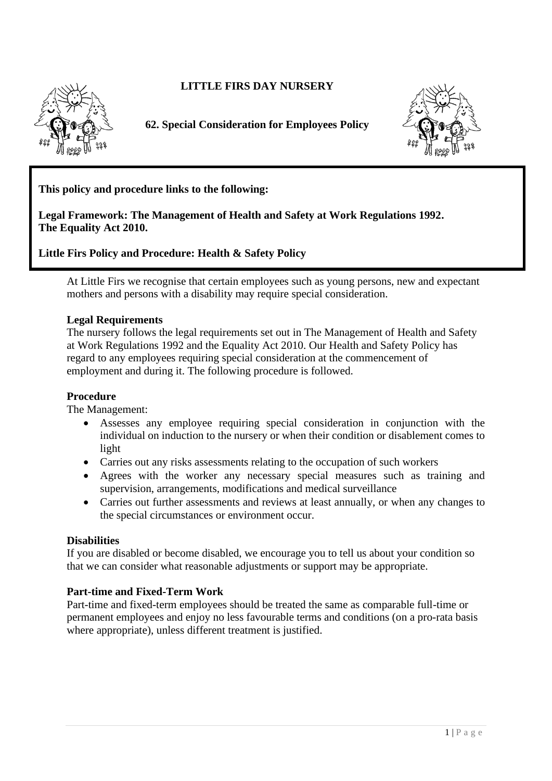**LITTLE FIRS DAY NURSERY** 



**62. Special Consideration for Employees Policy** 



**This policy and procedure links to the following:** 

**Legal Framework: The Management of Health and Safety at Work Regulations 1992. The Equality Act 2010.**

**Little Firs Policy and Procedure: Health & Safety Policy**

At Little Firs we recognise that certain employees such as young persons, new and expectant mothers and persons with a disability may require special consideration. with a disability may require special consideration.

## **Legal Requirements**

The nursery follows the legal requirements set out in The Management of Health and Safety at Work Regulations 1992 and the Equality Act 2010. Our Health and Safety Policy has regard to any employees requiring special consideration at the commencement of employment and during it. The following procedure is followed.

## Procedure  $\bf{f}$  roce and  $\bf{f}$  consideration in consideration with the induction to the nurser  $\bf{f}$  and  $\bf{f}$  and  $\bf{f}$  and  $\bf{f}$  and  $\bf{f}$  and  $\bf{f}$  and  $\bf{f}$  and  $\bf{f}$  and  $\bf{f}$  and  $\bf{f}$  and  $\bf{f}$  and

The Management:

- Assesses any employee requiring special consideration in conjunction with the individual on induction to the nursery or when their condition or disablement comes to light
- Carries out any risks assessments relating to the occupation of such workers  $\bullet$  Carries of
	- Agrees with the worker any necessary special measures such as training and supervision, arrangements, modifications and medical surveillance
- Carries out further assessments and reviews at least annually, or when any changes to the special circumstances or environment occur.

## **Pisabilities**

If you are disabled or become disabled, we encourage you to tell us about your condition so that we can consider what reasonable adjustments or support may be appropriate.

## **Part-time and Fixed-Term Work**

Part-time and fixed-term employees should be treated the same as comparable full-time or permanent employees and enjoy no less favourable terms and conditions (on a pro-rata basis where appropriate), unless different treatment is justified.